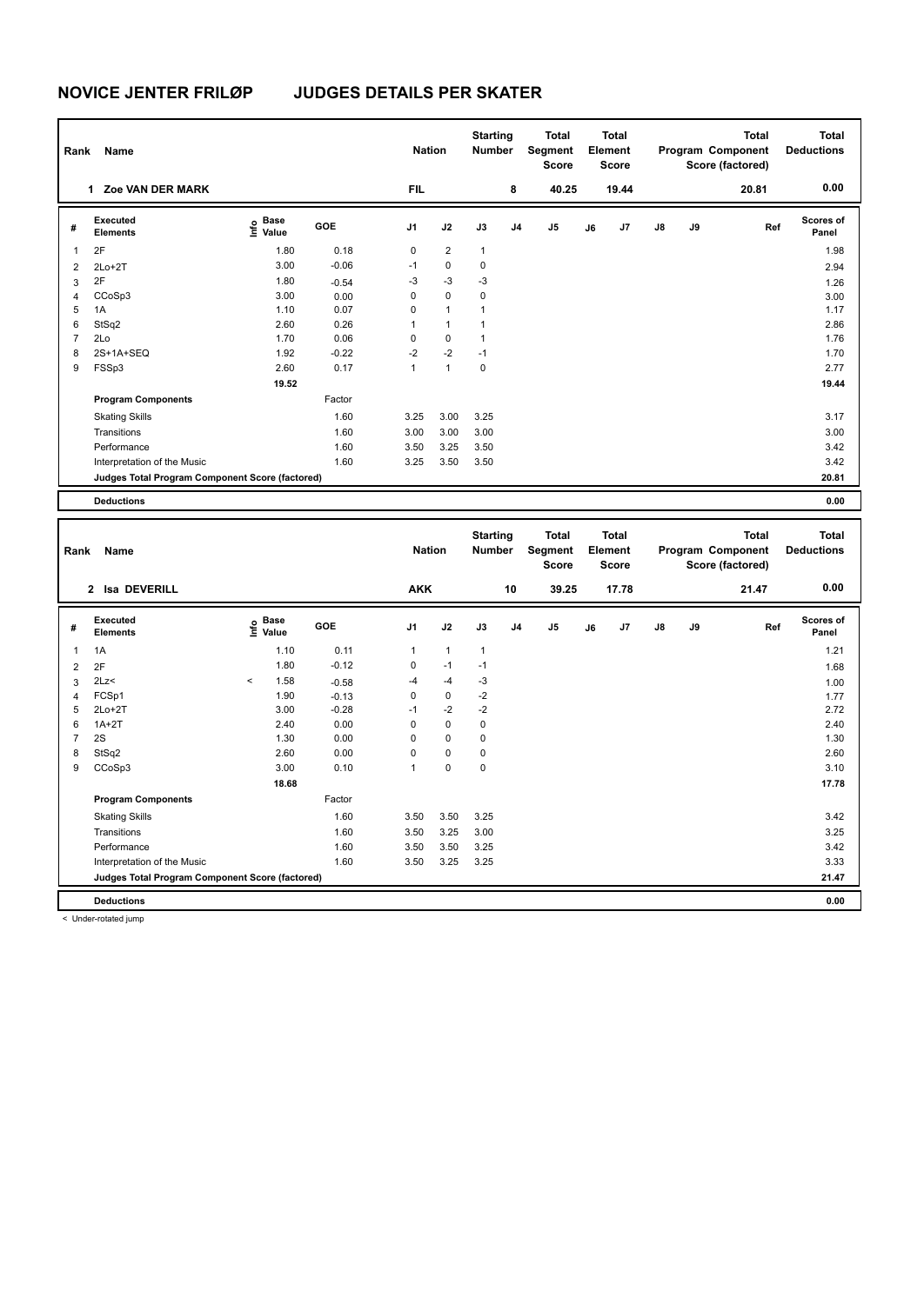| Name<br>Rank   |                                                 |                                      |            |                | <b>Nation</b>  |              | <b>Starting</b><br><b>Number</b> | <b>Total</b><br>Segment<br><b>Score</b> | <b>Total</b><br>Element<br><b>Score</b> |       |               |    | <b>Total</b><br>Program Component<br>Score (factored) | <b>Total</b><br><b>Deductions</b> |
|----------------|-------------------------------------------------|--------------------------------------|------------|----------------|----------------|--------------|----------------------------------|-----------------------------------------|-----------------------------------------|-------|---------------|----|-------------------------------------------------------|-----------------------------------|
|                | <b>Zoe VAN DER MARK</b><br>1.                   |                                      |            | <b>FIL</b>     |                |              | 8                                | 40.25                                   |                                         | 19.44 |               |    | 20.81                                                 | 0.00                              |
| #              | Executed<br><b>Elements</b>                     | Base<br>e <sup>Base</sup><br>⊆ Value | <b>GOE</b> | J <sub>1</sub> | J2             | J3           | J <sub>4</sub>                   | J <sub>5</sub>                          | J6                                      | J7    | $\mathsf{J}8$ | J9 | Ref                                                   | Scores of<br>Panel                |
| 1              | 2F                                              | 1.80                                 | 0.18       | 0              | $\overline{2}$ | $\mathbf{1}$ |                                  |                                         |                                         |       |               |    |                                                       | 1.98                              |
| 2              | $2Lo+2T$                                        | 3.00                                 | $-0.06$    | $-1$           | $\mathbf 0$    | $\mathbf 0$  |                                  |                                         |                                         |       |               |    |                                                       | 2.94                              |
| 3              | 2F                                              | 1.80                                 | $-0.54$    | -3             | $-3$           | $-3$         |                                  |                                         |                                         |       |               |    |                                                       | 1.26                              |
| $\overline{4}$ | CCoSp3                                          | 3.00                                 | 0.00       | 0              | $\mathbf 0$    | 0            |                                  |                                         |                                         |       |               |    |                                                       | 3.00                              |
| 5              | 1A                                              | 1.10                                 | 0.07       | 0              | $\mathbf{1}$   | 1            |                                  |                                         |                                         |       |               |    |                                                       | 1.17                              |
| 6              | StSq2                                           | 2.60                                 | 0.26       | 1              | $\mathbf{1}$   | 1            |                                  |                                         |                                         |       |               |    |                                                       | 2.86                              |
| $\overline{7}$ | 2Lo                                             | 1.70                                 | 0.06       | 0              | $\mathbf 0$    | $\mathbf{1}$ |                                  |                                         |                                         |       |               |    |                                                       | 1.76                              |
| 8              | 2S+1A+SEQ                                       | 1.92                                 | $-0.22$    | $-2$           | $-2$           | $-1$         |                                  |                                         |                                         |       |               |    |                                                       | 1.70                              |
| 9              | FSSp3                                           | 2.60                                 | 0.17       | 1              | $\mathbf{1}$   | 0            |                                  |                                         |                                         |       |               |    |                                                       | 2.77                              |
|                |                                                 | 19.52                                |            |                |                |              |                                  |                                         |                                         |       |               |    |                                                       | 19.44                             |
|                | <b>Program Components</b>                       |                                      | Factor     |                |                |              |                                  |                                         |                                         |       |               |    |                                                       |                                   |
|                | <b>Skating Skills</b>                           |                                      | 1.60       | 3.25           | 3.00           | 3.25         |                                  |                                         |                                         |       |               |    |                                                       | 3.17                              |
|                | Transitions                                     |                                      | 1.60       | 3.00           | 3.00           | 3.00         |                                  |                                         |                                         |       |               |    |                                                       | 3.00                              |
|                | Performance                                     |                                      | 1.60       | 3.50           | 3.25           | 3.50         |                                  |                                         |                                         |       |               |    |                                                       | 3.42                              |
|                | Interpretation of the Music                     |                                      | 1.60       | 3.25           | 3.50           | 3.50         |                                  |                                         |                                         |       |               |    |                                                       | 3.42                              |
|                | Judges Total Program Component Score (factored) |                                      |            |                |                |              |                                  |                                         |                                         |       |               |    |                                                       | 20.81                             |
|                | <b>Deductions</b>                               |                                      |            |                |                |              |                                  |                                         |                                         |       |               |    |                                                       | 0.00                              |
|                |                                                 |                                      |            |                |                |              |                                  |                                         |                                         |       |               |    |                                                       |                                   |

| Rank           | Name                                            |         |                                             |         |            | <b>Nation</b> |      | <b>Starting</b><br><b>Number</b> | <b>Total</b><br>Segment<br><b>Score</b> |    | <b>Total</b><br>Element<br><b>Score</b> |               |    | <b>Total</b><br>Program Component<br>Score (factored) | <b>Total</b><br><b>Deductions</b> |
|----------------|-------------------------------------------------|---------|---------------------------------------------|---------|------------|---------------|------|----------------------------------|-----------------------------------------|----|-----------------------------------------|---------------|----|-------------------------------------------------------|-----------------------------------|
|                | 2 Isa DEVERILL                                  |         |                                             |         | <b>AKK</b> |               |      | 10                               | 39.25                                   |    | 17.78                                   |               |    | 21.47                                                 | 0.00                              |
| #              | Executed<br><b>Elements</b>                     |         | <b>Base</b><br>e <sup>Base</sup><br>⊆ Value | GOE     | J1         | J2            | J3   | J <sub>4</sub>                   | J <sub>5</sub>                          | J6 | J7                                      | $\mathsf{J}8$ | J9 | Ref                                                   | Scores of<br>Panel                |
| 1              | 1A                                              |         | 1.10                                        | 0.11    | 1          | $\mathbf{1}$  | 1    |                                  |                                         |    |                                         |               |    |                                                       | 1.21                              |
| $\overline{2}$ | 2F                                              |         | 1.80                                        | $-0.12$ | 0          | $-1$          | $-1$ |                                  |                                         |    |                                         |               |    |                                                       | 1.68                              |
| 3              | 2Lz                                             | $\prec$ | 1.58                                        | $-0.58$ | $-4$       | $-4$          | $-3$ |                                  |                                         |    |                                         |               |    |                                                       | 1.00                              |
| 4              | FCSp1                                           |         | 1.90                                        | $-0.13$ | 0          | $\mathbf 0$   | $-2$ |                                  |                                         |    |                                         |               |    |                                                       | 1.77                              |
| 5              | $2Lo+2T$                                        |         | 3.00                                        | $-0.28$ | $-1$       | $-2$          | $-2$ |                                  |                                         |    |                                         |               |    |                                                       | 2.72                              |
| 6              | $1A+2T$                                         |         | 2.40                                        | 0.00    | $\Omega$   | $\mathbf 0$   | 0    |                                  |                                         |    |                                         |               |    |                                                       | 2.40                              |
| $\overline{7}$ | 2S                                              |         | 1.30                                        | 0.00    | 0          | $\mathbf 0$   | 0    |                                  |                                         |    |                                         |               |    |                                                       | 1.30                              |
| 8              | StSq2                                           |         | 2.60                                        | 0.00    | 0          | 0             | 0    |                                  |                                         |    |                                         |               |    |                                                       | 2.60                              |
| 9              | CCoSp3                                          |         | 3.00                                        | 0.10    | 1          | 0             | 0    |                                  |                                         |    |                                         |               |    |                                                       | 3.10                              |
|                |                                                 |         | 18.68                                       |         |            |               |      |                                  |                                         |    |                                         |               |    |                                                       | 17.78                             |
|                | <b>Program Components</b>                       |         |                                             | Factor  |            |               |      |                                  |                                         |    |                                         |               |    |                                                       |                                   |
|                | <b>Skating Skills</b>                           |         |                                             | 1.60    | 3.50       | 3.50          | 3.25 |                                  |                                         |    |                                         |               |    |                                                       | 3.42                              |
|                | Transitions                                     |         |                                             | 1.60    | 3.50       | 3.25          | 3.00 |                                  |                                         |    |                                         |               |    |                                                       | 3.25                              |
|                | Performance                                     |         |                                             | 1.60    | 3.50       | 3.50          | 3.25 |                                  |                                         |    |                                         |               |    |                                                       | 3.42                              |
|                | Interpretation of the Music                     |         |                                             | 1.60    | 3.50       | 3.25          | 3.25 |                                  |                                         |    |                                         |               |    |                                                       | 3.33                              |
|                | Judges Total Program Component Score (factored) |         |                                             |         |            |               |      |                                  |                                         |    |                                         |               |    |                                                       | 21.47                             |
|                | <b>Deductions</b>                               |         |                                             |         |            |               |      |                                  |                                         |    |                                         |               |    |                                                       | 0.00                              |

< Under-rotated jump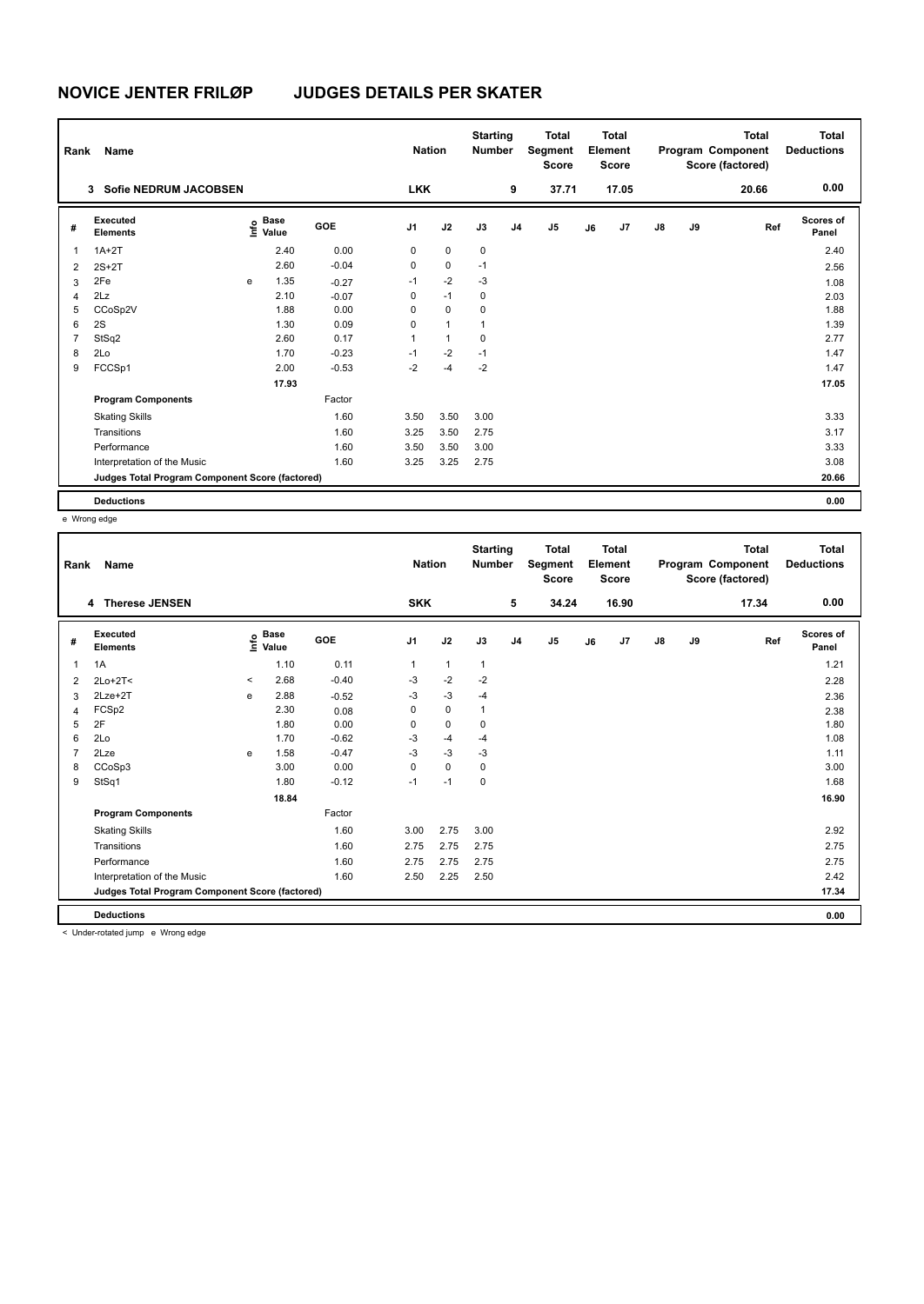|                | Rank<br><b>Name</b>                             |      |                      |            |                | <b>Nation</b> |             | <b>Starting</b><br><b>Number</b> | <b>Total</b><br>Segment<br>Element<br><b>Score</b> |    | <b>Total</b><br><b>Score</b> |               |    | <b>Total</b><br>Program Component<br>Score (factored) | <b>Total</b><br><b>Deductions</b> |
|----------------|-------------------------------------------------|------|----------------------|------------|----------------|---------------|-------------|----------------------------------|----------------------------------------------------|----|------------------------------|---------------|----|-------------------------------------------------------|-----------------------------------|
|                | <b>Sofie NEDRUM JACOBSEN</b><br>3               |      |                      |            | <b>LKK</b>     |               |             | 9                                | 37.71                                              |    | 17.05                        |               |    | 20.66                                                 | 0.00                              |
| #              | Executed<br><b>Elements</b>                     | lnfo | <b>Base</b><br>Value | <b>GOE</b> | J <sub>1</sub> | J2            | J3          | J <sub>4</sub>                   | J5                                                 | J6 | J7                           | $\mathsf{J}8$ | J9 | Ref                                                   | Scores of<br>Panel                |
| 1              | $1A+2T$                                         |      | 2.40                 | 0.00       | 0              | $\mathbf 0$   | $\mathbf 0$ |                                  |                                                    |    |                              |               |    |                                                       | 2.40                              |
| $\overline{2}$ | $2S+2T$                                         |      | 2.60                 | $-0.04$    | 0              | $\mathbf 0$   | $-1$        |                                  |                                                    |    |                              |               |    |                                                       | 2.56                              |
| 3              | 2Fe                                             | e    | 1.35                 | $-0.27$    | $-1$           | $-2$          | $-3$        |                                  |                                                    |    |                              |               |    |                                                       | 1.08                              |
| $\overline{4}$ | 2Lz                                             |      | 2.10                 | $-0.07$    | 0              | $-1$          | $\pmb{0}$   |                                  |                                                    |    |                              |               |    |                                                       | 2.03                              |
| 5              | CCoSp2V                                         |      | 1.88                 | 0.00       | 0              | $\mathbf 0$   | 0           |                                  |                                                    |    |                              |               |    |                                                       | 1.88                              |
| 6              | 2S                                              |      | 1.30                 | 0.09       | 0              | $\mathbf{1}$  | 1           |                                  |                                                    |    |                              |               |    |                                                       | 1.39                              |
| 7              | StSq2                                           |      | 2.60                 | 0.17       | 1              | $\mathbf{1}$  | 0           |                                  |                                                    |    |                              |               |    |                                                       | 2.77                              |
| 8              | 2Lo                                             |      | 1.70                 | $-0.23$    | $-1$           | $-2$          | $-1$        |                                  |                                                    |    |                              |               |    |                                                       | 1.47                              |
| 9              | FCCSp1                                          |      | 2.00                 | $-0.53$    | $-2$           | $-4$          | $-2$        |                                  |                                                    |    |                              |               |    |                                                       | 1.47                              |
|                |                                                 |      | 17.93                |            |                |               |             |                                  |                                                    |    |                              |               |    |                                                       | 17.05                             |
|                | <b>Program Components</b>                       |      |                      | Factor     |                |               |             |                                  |                                                    |    |                              |               |    |                                                       |                                   |
|                | <b>Skating Skills</b>                           |      |                      | 1.60       | 3.50           | 3.50          | 3.00        |                                  |                                                    |    |                              |               |    |                                                       | 3.33                              |
|                | Transitions                                     |      |                      | 1.60       | 3.25           | 3.50          | 2.75        |                                  |                                                    |    |                              |               |    |                                                       | 3.17                              |
|                | Performance                                     |      |                      | 1.60       | 3.50           | 3.50          | 3.00        |                                  |                                                    |    |                              |               |    |                                                       | 3.33                              |
|                | Interpretation of the Music                     |      |                      | 1.60       | 3.25           | 3.25          | 2.75        |                                  |                                                    |    |                              |               |    |                                                       | 3.08                              |
|                | Judges Total Program Component Score (factored) |      |                      |            |                |               |             |                                  |                                                    |    |                              |               |    |                                                       | 20.66                             |
|                | <b>Deductions</b>                               |      |                      |            |                |               |             |                                  |                                                    |    |                              |               |    |                                                       | 0.00                              |

e Wrong edge

| Rank           | Name                                            |          |                      |         | <b>Nation</b>  |              | <b>Starting</b><br><b>Number</b> |                | <b>Total</b><br>Segment<br><b>Score</b> |    | <b>Total</b><br>Element<br>Score |               |    | <b>Total</b><br>Program Component<br>Score (factored) | <b>Total</b><br><b>Deductions</b> |
|----------------|-------------------------------------------------|----------|----------------------|---------|----------------|--------------|----------------------------------|----------------|-----------------------------------------|----|----------------------------------|---------------|----|-------------------------------------------------------|-----------------------------------|
|                | 4 Therese JENSEN                                |          |                      |         | <b>SKK</b>     |              |                                  | 5              | 34.24                                   |    | 16.90                            |               |    | 17.34                                                 | 0.00                              |
| #              | <b>Executed</b><br><b>Elements</b>              | lnfo     | <b>Base</b><br>Value | GOE     | J <sub>1</sub> | J2           | J3                               | J <sub>4</sub> | J <sub>5</sub>                          | J6 | J7                               | $\mathsf{J}8$ | J9 | Ref                                                   | Scores of<br>Panel                |
| 1              | 1A                                              |          | 1.10                 | 0.11    | 1              | $\mathbf{1}$ | $\mathbf{1}$                     |                |                                         |    |                                  |               |    |                                                       | 1.21                              |
| 2              | $2Lo+2T<$                                       | $\hat{}$ | 2.68                 | $-0.40$ | $-3$           | $-2$         | $-2$                             |                |                                         |    |                                  |               |    |                                                       | 2.28                              |
| 3              | $2Lze+2T$                                       | e        | 2.88                 | $-0.52$ | $-3$           | $-3$         | $-4$                             |                |                                         |    |                                  |               |    |                                                       | 2.36                              |
| 4              | FCSp2                                           |          | 2.30                 | 0.08    | 0              | $\mathbf 0$  | 1                                |                |                                         |    |                                  |               |    |                                                       | 2.38                              |
| 5              | 2F                                              |          | 1.80                 | 0.00    | 0              | $\mathbf 0$  | 0                                |                |                                         |    |                                  |               |    |                                                       | 1.80                              |
| 6              | 2Lo                                             |          | 1.70                 | $-0.62$ | $-3$           | -4           | $-4$                             |                |                                         |    |                                  |               |    |                                                       | 1.08                              |
| $\overline{7}$ | 2Lze                                            | e        | 1.58                 | $-0.47$ | $-3$           | $-3$         | $-3$                             |                |                                         |    |                                  |               |    |                                                       | 1.11                              |
| 8              | CCoSp3                                          |          | 3.00                 | 0.00    | 0              | $\mathbf 0$  | 0                                |                |                                         |    |                                  |               |    |                                                       | 3.00                              |
| 9              | StSq1                                           |          | 1.80                 | $-0.12$ | $-1$           | $-1$         | 0                                |                |                                         |    |                                  |               |    |                                                       | 1.68                              |
|                |                                                 |          | 18.84                |         |                |              |                                  |                |                                         |    |                                  |               |    |                                                       | 16.90                             |
|                | <b>Program Components</b>                       |          |                      | Factor  |                |              |                                  |                |                                         |    |                                  |               |    |                                                       |                                   |
|                | <b>Skating Skills</b>                           |          |                      | 1.60    | 3.00           | 2.75         | 3.00                             |                |                                         |    |                                  |               |    |                                                       | 2.92                              |
|                | Transitions                                     |          |                      | 1.60    | 2.75           | 2.75         | 2.75                             |                |                                         |    |                                  |               |    |                                                       | 2.75                              |
|                | Performance                                     |          |                      | 1.60    | 2.75           | 2.75         | 2.75                             |                |                                         |    |                                  |               |    |                                                       | 2.75                              |
|                | Interpretation of the Music                     |          |                      | 1.60    | 2.50           | 2.25         | 2.50                             |                |                                         |    |                                  |               |    |                                                       | 2.42                              |
|                | Judges Total Program Component Score (factored) |          |                      |         |                |              |                                  |                |                                         |    |                                  |               |    |                                                       | 17.34                             |
|                | <b>Deductions</b>                               |          |                      |         |                |              |                                  |                |                                         |    |                                  |               |    |                                                       | 0.00                              |

< Under-rotated jump e Wrong edge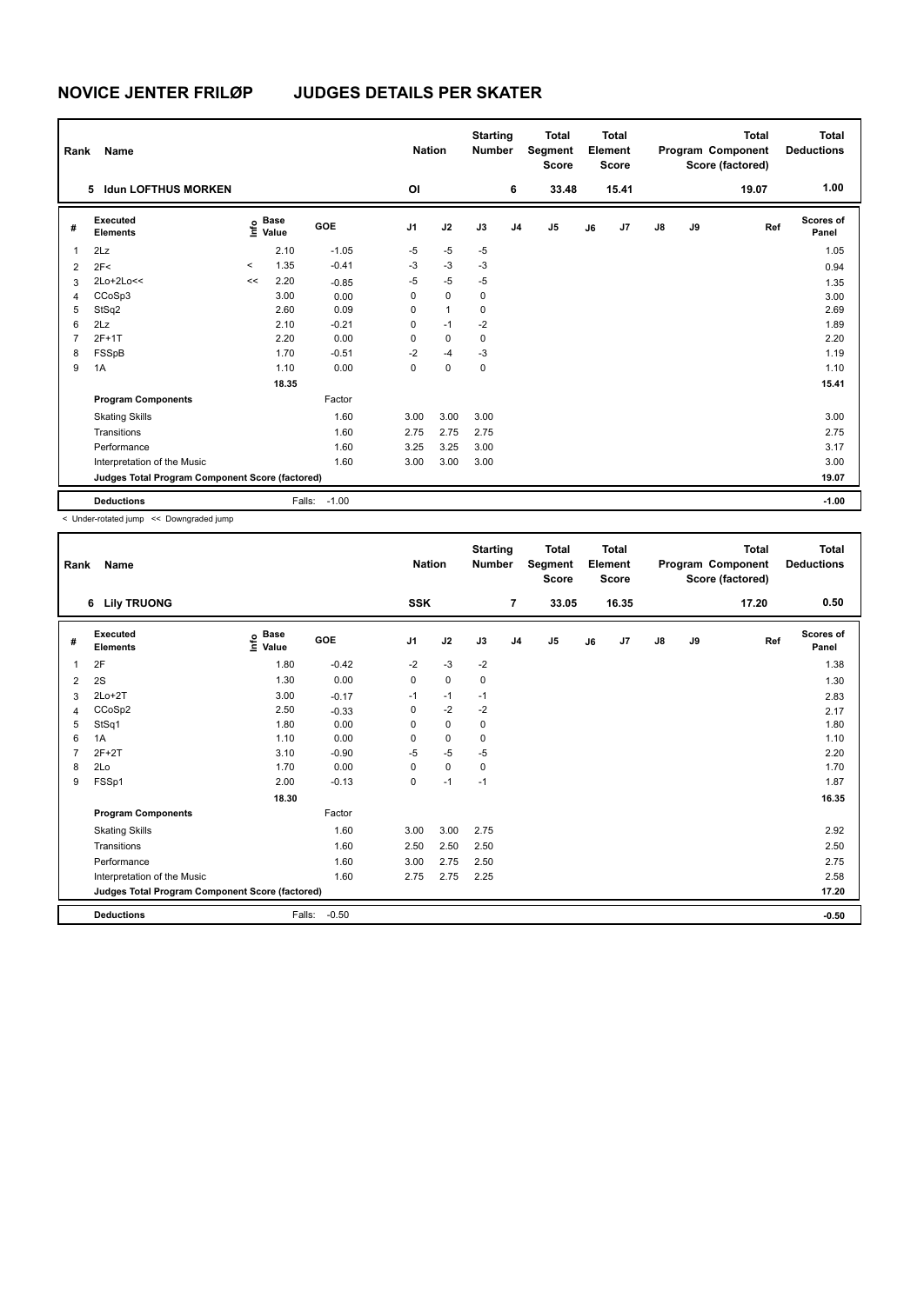| Rank           | Name                                            |         |                      |            |                | <b>Nation</b> | <b>Starting</b><br><b>Number</b> |                | <b>Total</b><br>Segment<br><b>Score</b> |    | Total<br>Element<br><b>Score</b> |               |    | <b>Total</b><br>Program Component<br>Score (factored) | Total<br><b>Deductions</b> |
|----------------|-------------------------------------------------|---------|----------------------|------------|----------------|---------------|----------------------------------|----------------|-----------------------------------------|----|----------------------------------|---------------|----|-------------------------------------------------------|----------------------------|
|                | <b>Idun LOFTHUS MORKEN</b><br>5.                |         |                      |            | OI             |               |                                  | 6              | 33.48                                   |    | 15.41                            |               |    | 19.07                                                 | 1.00                       |
| #              | Executed<br><b>Elements</b>                     | ۴       | <b>Base</b><br>Value | <b>GOE</b> | J <sub>1</sub> | J2            | J3                               | J <sub>4</sub> | J <sub>5</sub>                          | J6 | J7                               | $\mathsf{J}8$ | J9 | Ref                                                   | Scores of<br>Panel         |
| 1              | 2Lz                                             |         | 2.10                 | $-1.05$    | $-5$           | $-5$          | $-5$                             |                |                                         |    |                                  |               |    |                                                       | 1.05                       |
| 2              | 2F<                                             | $\prec$ | 1.35                 | $-0.41$    | $-3$           | $-3$          | $-3$                             |                |                                         |    |                                  |               |    |                                                       | 0.94                       |
| 3              | 2Lo+2Lo<<                                       | <<      | 2.20                 | $-0.85$    | $-5$           | $-5$          | $-5$                             |                |                                         |    |                                  |               |    |                                                       | 1.35                       |
| 4              | CCoSp3                                          |         | 3.00                 | 0.00       | 0              | $\mathbf 0$   | 0                                |                |                                         |    |                                  |               |    |                                                       | 3.00                       |
| 5              | StSq2                                           |         | 2.60                 | 0.09       | 0              | $\mathbf{1}$  | 0                                |                |                                         |    |                                  |               |    |                                                       | 2.69                       |
| 6              | 2Lz                                             |         | 2.10                 | $-0.21$    | 0              | $-1$          | $-2$                             |                |                                         |    |                                  |               |    |                                                       | 1.89                       |
| $\overline{7}$ | $2F+1T$                                         |         | 2.20                 | 0.00       | 0              | $\mathbf 0$   | $\mathbf 0$                      |                |                                         |    |                                  |               |    |                                                       | 2.20                       |
| 8              | FSSpB                                           |         | 1.70                 | $-0.51$    | $-2$           | $-4$          | $-3$                             |                |                                         |    |                                  |               |    |                                                       | 1.19                       |
| 9              | 1A                                              |         | 1.10                 | 0.00       | 0              | 0             | 0                                |                |                                         |    |                                  |               |    |                                                       | 1.10                       |
|                |                                                 |         | 18.35                |            |                |               |                                  |                |                                         |    |                                  |               |    |                                                       | 15.41                      |
|                | <b>Program Components</b>                       |         |                      | Factor     |                |               |                                  |                |                                         |    |                                  |               |    |                                                       |                            |
|                | <b>Skating Skills</b>                           |         |                      | 1.60       | 3.00           | 3.00          | 3.00                             |                |                                         |    |                                  |               |    |                                                       | 3.00                       |
|                | Transitions                                     |         |                      | 1.60       | 2.75           | 2.75          | 2.75                             |                |                                         |    |                                  |               |    |                                                       | 2.75                       |
|                | Performance                                     |         |                      | 1.60       | 3.25           | 3.25          | 3.00                             |                |                                         |    |                                  |               |    |                                                       | 3.17                       |
|                | Interpretation of the Music                     |         |                      | 1.60       | 3.00           | 3.00          | 3.00                             |                |                                         |    |                                  |               |    |                                                       | 3.00                       |
|                | Judges Total Program Component Score (factored) |         |                      |            |                |               |                                  |                |                                         |    |                                  |               |    |                                                       | 19.07                      |
|                | <b>Deductions</b>                               |         | Falls:               | $-1.00$    |                |               |                                  |                |                                         |    |                                  |               |    |                                                       | $-1.00$                    |

< Under-rotated jump << Downgraded jump

| Rank | Name                                            |                                  |            | <b>Nation</b>  |             | <b>Starting</b><br><b>Number</b> |                | <b>Total</b><br>Segment<br><b>Score</b> |    | <b>Total</b><br>Element<br><b>Score</b> |               |    | <b>Total</b><br>Program Component<br>Score (factored) | <b>Total</b><br><b>Deductions</b> |
|------|-------------------------------------------------|----------------------------------|------------|----------------|-------------|----------------------------------|----------------|-----------------------------------------|----|-----------------------------------------|---------------|----|-------------------------------------------------------|-----------------------------------|
|      | 6 Lily TRUONG                                   |                                  |            | <b>SSK</b>     |             |                                  | $\overline{7}$ | 33.05                                   |    | 16.35                                   |               |    | 17.20                                                 | 0.50                              |
| #    | Executed<br><b>Elements</b>                     | <b>Base</b><br>e Base<br>⊆ Value | <b>GOE</b> | J <sub>1</sub> | J2          | J3                               | J <sub>4</sub> | J5                                      | J6 | J7                                      | $\mathsf{J}8$ | J9 | Ref                                                   | <b>Scores of</b><br>Panel         |
| 1    | 2F                                              | 1.80                             | $-0.42$    | $-2$           | $-3$        | $-2$                             |                |                                         |    |                                         |               |    |                                                       | 1.38                              |
| 2    | 2S                                              | 1.30                             | 0.00       | 0              | $\mathbf 0$ | 0                                |                |                                         |    |                                         |               |    |                                                       | 1.30                              |
| 3    | $2Lo+2T$                                        | 3.00                             | $-0.17$    | $-1$           | $-1$        | $-1$                             |                |                                         |    |                                         |               |    |                                                       | 2.83                              |
| 4    | CCoSp2                                          | 2.50                             | $-0.33$    | 0              | $-2$        | $-2$                             |                |                                         |    |                                         |               |    |                                                       | 2.17                              |
| 5    | StSq1                                           | 1.80                             | 0.00       | 0              | $\pmb{0}$   | 0                                |                |                                         |    |                                         |               |    |                                                       | 1.80                              |
| 6    | 1A                                              | 1.10                             | 0.00       | $\Omega$       | $\mathbf 0$ | 0                                |                |                                         |    |                                         |               |    |                                                       | 1.10                              |
|      | $2F+2T$                                         | 3.10                             | $-0.90$    | $-5$           | $-5$        | $-5$                             |                |                                         |    |                                         |               |    |                                                       | 2.20                              |
| 8    | 2Lo                                             | 1.70                             | 0.00       | 0              | $\mathbf 0$ | 0                                |                |                                         |    |                                         |               |    |                                                       | 1.70                              |
| 9    | FSSp1                                           | 2.00                             | $-0.13$    | 0              | $-1$        | $-1$                             |                |                                         |    |                                         |               |    |                                                       | 1.87                              |
|      |                                                 | 18.30                            |            |                |             |                                  |                |                                         |    |                                         |               |    |                                                       | 16.35                             |
|      | <b>Program Components</b>                       |                                  | Factor     |                |             |                                  |                |                                         |    |                                         |               |    |                                                       |                                   |
|      | <b>Skating Skills</b>                           |                                  | 1.60       | 3.00           | 3.00        | 2.75                             |                |                                         |    |                                         |               |    |                                                       | 2.92                              |
|      | Transitions                                     |                                  | 1.60       | 2.50           | 2.50        | 2.50                             |                |                                         |    |                                         |               |    |                                                       | 2.50                              |
|      | Performance                                     |                                  | 1.60       | 3.00           | 2.75        | 2.50                             |                |                                         |    |                                         |               |    |                                                       | 2.75                              |
|      | Interpretation of the Music                     |                                  | 1.60       | 2.75           | 2.75        | 2.25                             |                |                                         |    |                                         |               |    |                                                       | 2.58                              |
|      | Judges Total Program Component Score (factored) |                                  |            |                |             |                                  |                |                                         |    |                                         |               |    |                                                       | 17.20                             |
|      | <b>Deductions</b>                               | Falls:                           | $-0.50$    |                |             |                                  |                |                                         |    |                                         |               |    |                                                       | $-0.50$                           |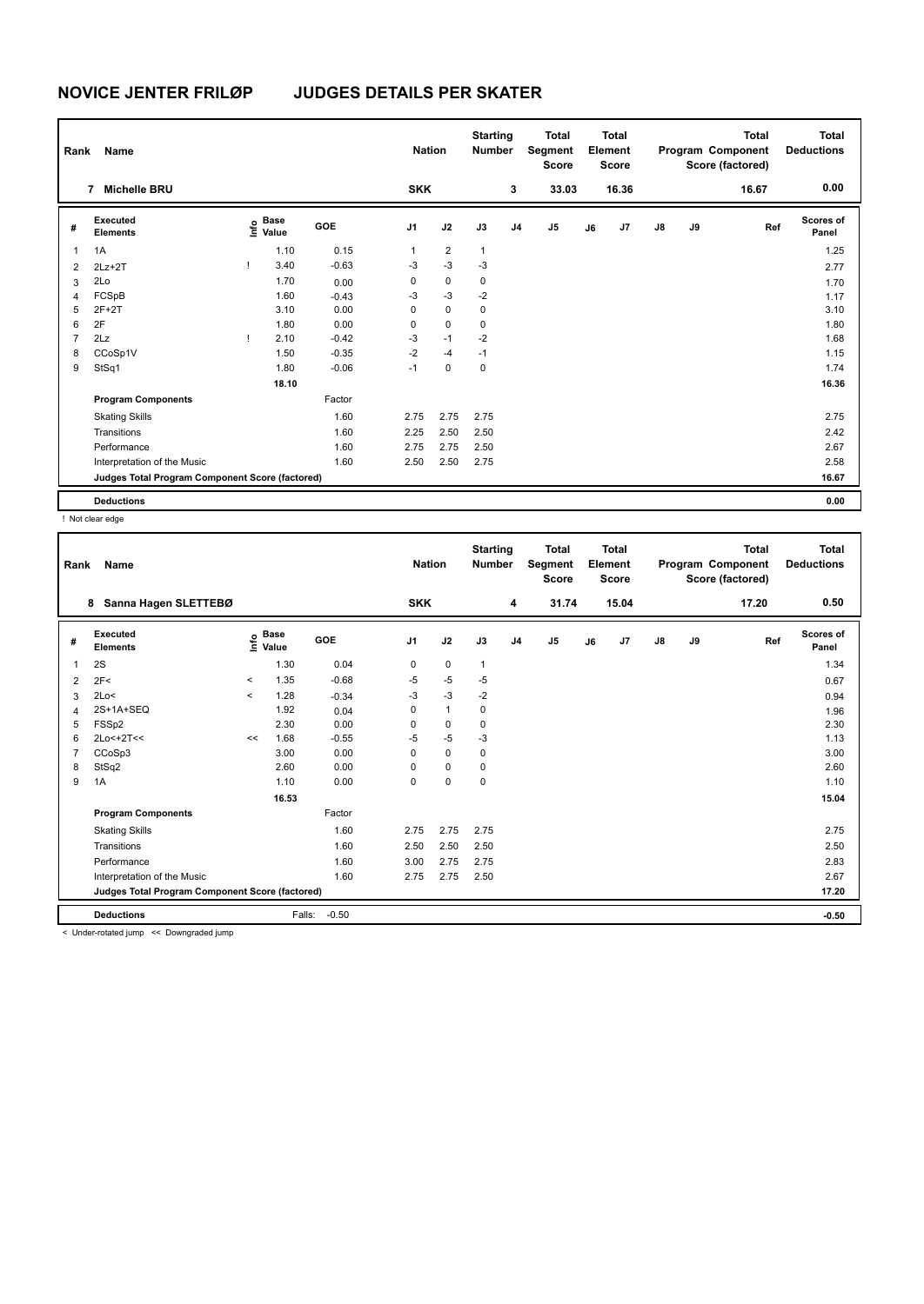| Rank<br>Name   |                                                 |      |                      |            | <b>Nation</b>  |                | <b>Starting</b><br><b>Number</b> | <b>Total</b><br>Segment<br><b>Score</b> |       | <b>Total</b><br>Element<br><b>Score</b> |       | Total<br>Program Component<br>Score (factored) |    | <b>Total</b><br><b>Deductions</b> |                    |
|----------------|-------------------------------------------------|------|----------------------|------------|----------------|----------------|----------------------------------|-----------------------------------------|-------|-----------------------------------------|-------|------------------------------------------------|----|-----------------------------------|--------------------|
|                | <b>Michelle BRU</b><br>7                        |      |                      |            | <b>SKK</b>     |                |                                  | 3                                       | 33.03 |                                         | 16.36 |                                                |    | 16.67                             | 0.00               |
| #              | Executed<br><b>Elements</b>                     | lnfo | <b>Base</b><br>Value | <b>GOE</b> | J <sub>1</sub> | J2             | J3                               | J <sub>4</sub>                          | J5    | J6                                      | J7    | $\mathsf{J}8$                                  | J9 | Ref                               | Scores of<br>Panel |
| 1              | 1A                                              |      | 1.10                 | 0.15       | 1              | $\overline{2}$ | $\mathbf{1}$                     |                                         |       |                                         |       |                                                |    |                                   | 1.25               |
| $\overline{2}$ | $2Lz + 2T$                                      |      | 3.40                 | $-0.63$    | $-3$           | $-3$           | $-3$                             |                                         |       |                                         |       |                                                |    |                                   | 2.77               |
| 3              | 2Lo                                             |      | 1.70                 | 0.00       | 0              | 0              | $\mathbf 0$                      |                                         |       |                                         |       |                                                |    |                                   | 1.70               |
| $\overline{4}$ | FCSpB                                           |      | 1.60                 | $-0.43$    | $-3$           | $-3$           | $-2$                             |                                         |       |                                         |       |                                                |    |                                   | 1.17               |
| 5              | $2F+2T$                                         |      | 3.10                 | 0.00       | 0              | $\mathbf 0$    | 0                                |                                         |       |                                         |       |                                                |    |                                   | 3.10               |
| 6              | 2F                                              |      | 1.80                 | 0.00       | 0              | $\mathbf 0$    | 0                                |                                         |       |                                         |       |                                                |    |                                   | 1.80               |
| $\overline{7}$ | 2Lz                                             |      | 2.10                 | $-0.42$    | $-3$           | $-1$           | $-2$                             |                                         |       |                                         |       |                                                |    |                                   | 1.68               |
| 8              | CCoSp1V                                         |      | 1.50                 | $-0.35$    | $-2$           | $-4$           | $-1$                             |                                         |       |                                         |       |                                                |    |                                   | 1.15               |
| 9              | StSq1                                           |      | 1.80                 | $-0.06$    | $-1$           | $\mathbf 0$    | $\pmb{0}$                        |                                         |       |                                         |       |                                                |    |                                   | 1.74               |
|                |                                                 |      | 18.10                |            |                |                |                                  |                                         |       |                                         |       |                                                |    |                                   | 16.36              |
|                | <b>Program Components</b>                       |      |                      | Factor     |                |                |                                  |                                         |       |                                         |       |                                                |    |                                   |                    |
|                | <b>Skating Skills</b>                           |      |                      | 1.60       | 2.75           | 2.75           | 2.75                             |                                         |       |                                         |       |                                                |    |                                   | 2.75               |
|                | Transitions                                     |      |                      | 1.60       | 2.25           | 2.50           | 2.50                             |                                         |       |                                         |       |                                                |    |                                   | 2.42               |
|                | Performance                                     |      |                      | 1.60       | 2.75           | 2.75           | 2.50                             |                                         |       |                                         |       |                                                |    |                                   | 2.67               |
|                | Interpretation of the Music                     |      |                      | 1.60       | 2.50           | 2.50           | 2.75                             |                                         |       |                                         |       |                                                |    |                                   | 2.58               |
|                | Judges Total Program Component Score (factored) |      |                      |            |                |                |                                  |                                         |       |                                         |       |                                                |    |                                   | 16.67              |
|                | <b>Deductions</b>                               |      |                      |            |                |                |                                  |                                         |       |                                         |       |                                                |    |                                   | 0.00               |

! Not clear edge

| Rank | Name                                                |         |                      |            | <b>Nation</b>  |              | <b>Starting</b><br><b>Number</b> |                | <b>Total</b><br>Segment<br><b>Score</b> |    | <b>Total</b><br>Element<br><b>Score</b> |               |    | <b>Total</b><br>Program Component<br>Score (factored) | <b>Total</b><br><b>Deductions</b> |
|------|-----------------------------------------------------|---------|----------------------|------------|----------------|--------------|----------------------------------|----------------|-----------------------------------------|----|-----------------------------------------|---------------|----|-------------------------------------------------------|-----------------------------------|
|      | Sanna Hagen SLETTEBØ<br>8                           |         |                      |            | <b>SKK</b>     |              |                                  | 4              | 31.74                                   |    | 15.04                                   |               |    | 17.20                                                 | 0.50                              |
| #    | Executed<br><b>Elements</b>                         | ١nf٥    | <b>Base</b><br>Value | <b>GOE</b> | J <sub>1</sub> | J2           | J3                               | J <sub>4</sub> | J5                                      | J6 | J7                                      | $\mathsf{J}8$ | J9 | Ref                                                   | <b>Scores of</b><br>Panel         |
| 1    | 2S                                                  |         | 1.30                 | 0.04       | 0              | $\mathbf 0$  | $\mathbf{1}$                     |                |                                         |    |                                         |               |    |                                                       | 1.34                              |
| 2    | 2F<                                                 | $\,<$   | 1.35                 | $-0.68$    | $-5$           | $-5$         | $-5$                             |                |                                         |    |                                         |               |    |                                                       | 0.67                              |
| 3    | 2Lo<                                                | $\prec$ | 1.28                 | $-0.34$    | $-3$           | $-3$         | $-2$                             |                |                                         |    |                                         |               |    |                                                       | 0.94                              |
| 4    | 2S+1A+SEQ                                           |         | 1.92                 | 0.04       | $\Omega$       | $\mathbf{1}$ | 0                                |                |                                         |    |                                         |               |    |                                                       | 1.96                              |
| 5    | FSSp2                                               |         | 2.30                 | 0.00       | 0              | 0            | $\mathbf 0$                      |                |                                         |    |                                         |               |    |                                                       | 2.30                              |
| 6    | 2Lo<+2T<<                                           | <<      | 1.68                 | $-0.55$    | $-5$           | $-5$         | $-3$                             |                |                                         |    |                                         |               |    |                                                       | 1.13                              |
|      | CCoSp3                                              |         | 3.00                 | 0.00       | $\Omega$       | $\mathbf 0$  | 0                                |                |                                         |    |                                         |               |    |                                                       | 3.00                              |
| 8    | StSq2                                               |         | 2.60                 | 0.00       | 0              | 0            | $\mathbf 0$                      |                |                                         |    |                                         |               |    |                                                       | 2.60                              |
| 9    | 1A                                                  |         | 1.10                 | 0.00       | 0              | $\mathbf 0$  | 0                                |                |                                         |    |                                         |               |    |                                                       | 1.10                              |
|      |                                                     |         | 16.53                |            |                |              |                                  |                |                                         |    |                                         |               |    |                                                       | 15.04                             |
|      | <b>Program Components</b>                           |         |                      | Factor     |                |              |                                  |                |                                         |    |                                         |               |    |                                                       |                                   |
|      | <b>Skating Skills</b>                               |         |                      | 1.60       | 2.75           | 2.75         | 2.75                             |                |                                         |    |                                         |               |    |                                                       | 2.75                              |
|      | Transitions                                         |         |                      | 1.60       | 2.50           | 2.50         | 2.50                             |                |                                         |    |                                         |               |    |                                                       | 2.50                              |
|      | Performance                                         |         |                      | 1.60       | 3.00           | 2.75         | 2.75                             |                |                                         |    |                                         |               |    |                                                       | 2.83                              |
|      | Interpretation of the Music                         |         |                      | 1.60       | 2.75           | 2.75         | 2.50                             |                |                                         |    |                                         |               |    |                                                       | 2.67                              |
|      | Judges Total Program Component Score (factored)     |         |                      |            |                |              |                                  |                |                                         |    |                                         |               |    |                                                       | 17.20                             |
|      | <b>Deductions</b>                                   |         | Falls:               | $-0.50$    |                |              |                                  |                |                                         |    |                                         |               |    |                                                       | $-0.50$                           |
|      | a children actual distance and December deal from a |         |                      |            |                |              |                                  |                |                                         |    |                                         |               |    |                                                       |                                   |

< Under-rotated jump << Downgraded jump